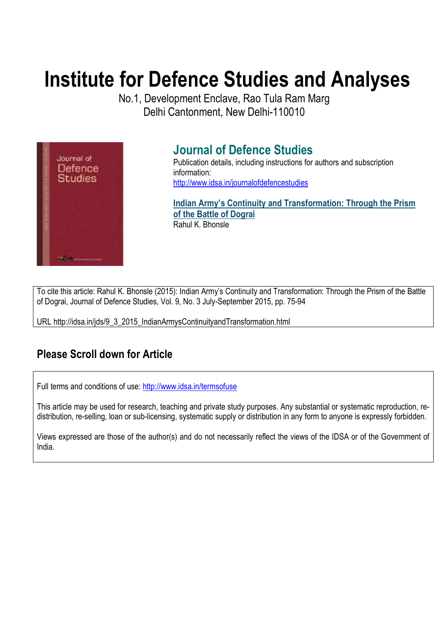# **Institute for Defence Studies and Analyses**

No.1, Development Enclave, Rao Tula Ram Marg Delhi Cantonment, New Delhi-110010



# **Journal of Defence Studies**

Publication details, including instructions for authors and subscription information: http://www.idsa.in/journalofdefencestudies

**Indian Army's Continuity and Transformation: Through the Prism of the Battle of Dograi**  Rahul K. Bhonsle

To cite this article: Rahul K. Bhonsle (2015): Indian Army's Continuity and Transformation: Through the Prism of the Battle of Dograi, Journal of Defence Studies, Vol. 9, No. 3 July-September 2015, pp. 75-94

URL http://idsa.in/jds/9\_3\_2015\_IndianArmysContinuityandTransformation.html

# **Please Scroll down for Article**

Full terms and conditions of use: http://www.idsa.in/termsofuse

This article may be used for research, teaching and private study purposes. Any substantial or systematic reproduction, redistribution, re-selling, loan or sub-licensing, systematic supply or distribution in any form to anyone is expressly forbidden.

Views expressed are those of the author(s) and do not necessarily reflect the views of the IDSA or of the Government of India.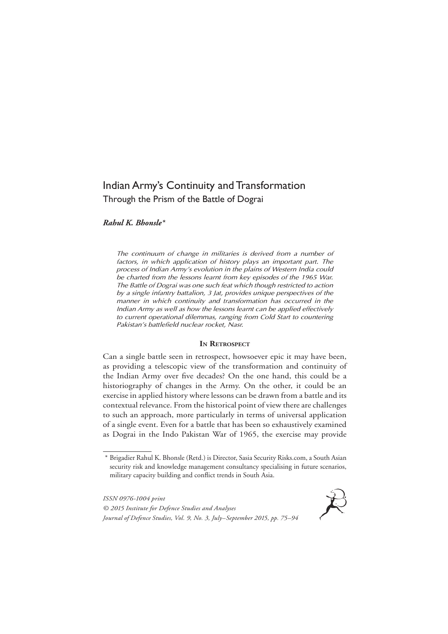# Indian Army's Continuity and Transformation Through the Prism of the Battle of Dograi

*Rahul K. Bhonsle\**

*The continuum of change in militaries is derived from a number of factors, in which application of history plays an important part. The process of Indian Army's evolution in the plains of Western India could be charted from the lessons learnt from key episodes of the 1965 War. The Battle of Dograi was one such feat which though restricted to action by a single infantry battalion, 3 Jat, provides unique perspectives of the manner in which continuity and transformation has occurred in the Indian Army as well as how the lessons learnt can be applied effectively to current operational dilemmas, ranging from Cold Start to countering Pakistan's battlefield nuclear rocket, Nasr.*

#### IN **RETROSPECT**

Can a single battle seen in retrospect, howsoever epic it may have been, as providing a telescopic view of the transformation and continuity of the Indian Army over five decades? On the one hand, this could be a historiography of changes in the Army. On the other, it could be an exercise in applied history where lessons can be drawn from a battle and its contextual relevance. From the historical point of view there are challenges to such an approach, more particularly in terms of universal application of a single event. Even for a battle that has been so exhaustively examined as Dograi in the Indo Pakistan War of 1965, the exercise may provide

*ISSN 0976-1004 print © 2015 Institute for Defence Studies and Analyses Journal of Defence Studies, Vol. 9, No. 3, July–September 2015, pp. 75–94*



<sup>\*</sup> Brigadier Rahul K. Bhonsle (Retd.) is Director, Sasia Security Risks.com, a South Asian security risk and knowledge management consultancy specialising in future scenarios, military capacity building and conflict trends in South Asia.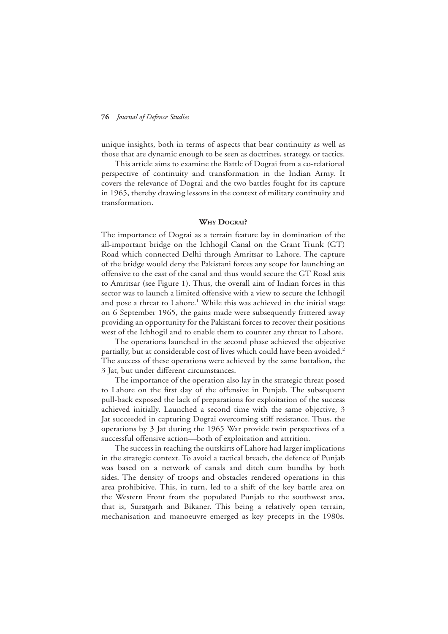unique insights, both in terms of aspects that bear continuity as well as those that are dynamic enough to be seen as doctrines, strategy, or tactics.

This article aims to examine the Battle of Dograi from a co-relational perspective of continuity and transformation in the Indian Army. It covers the relevance of Dograi and the two battles fought for its capture in 1965, thereby drawing lessons in the context of military continuity and transformation.

#### **Why Dograi?**

The importance of Dograi as a terrain feature lay in domination of the all-important bridge on the Ichhogil Canal on the Grant Trunk (GT) Road which connected Delhi through Amritsar to Lahore. The capture of the bridge would deny the Pakistani forces any scope for launching an offensive to the east of the canal and thus would secure the GT Road axis to Amritsar (see Figure 1). Thus, the overall aim of Indian forces in this sector was to launch a limited offensive with a view to secure the Ichhogil and pose a threat to Lahore.<sup>1</sup> While this was achieved in the initial stage on 6 September 1965, the gains made were subsequently frittered away providing an opportunity for the Pakistani forces to recover their positions west of the Ichhogil and to enable them to counter any threat to Lahore.

The operations launched in the second phase achieved the objective partially, but at considerable cost of lives which could have been avoided.<sup>2</sup> The success of these operations were achieved by the same battalion, the 3 Jat, but under different circumstances.

The importance of the operation also lay in the strategic threat posed to Lahore on the first day of the offensive in Punjab. The subsequent pull-back exposed the lack of preparations for exploitation of the success achieved initially. Launched a second time with the same objective, 3 Jat succeeded in capturing Dograi overcoming stiff resistance. Thus, the operations by 3 Jat during the 1965 War provide twin perspectives of a successful offensive action—both of exploitation and attrition.

The success in reaching the outskirts of Lahore had larger implications in the strategic context. To avoid a tactical breach, the defence of Punjab was based on a network of canals and ditch cum bundhs by both sides. The density of troops and obstacles rendered operations in this area prohibitive. This, in turn, led to a shift of the key battle area on the Western Front from the populated Punjab to the southwest area, that is, Suratgarh and Bikaner. This being a relatively open terrain, mechanisation and manoeuvre emerged as key precepts in the 1980s.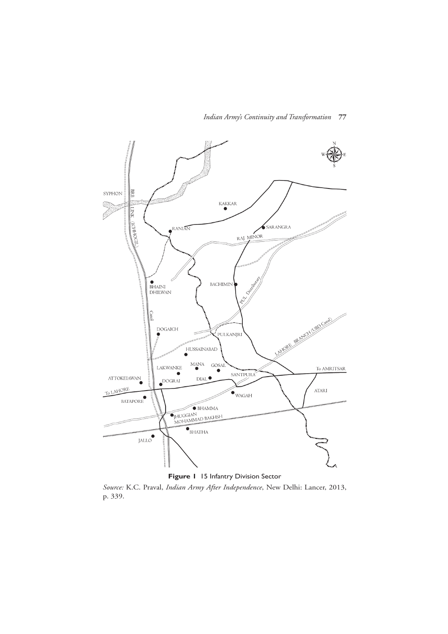

**Figure 1** 15 Infantry Division Sector

*Source:* K.C. Praval, *Indian Army After Independence*, New Delhi: Lancer, 2013, p. 339.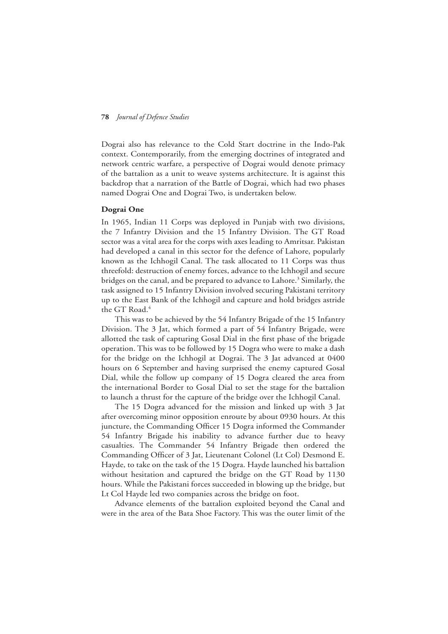Dograi also has relevance to the Cold Start doctrine in the Indo-Pak context. Contemporarily, from the emerging doctrines of integrated and network centric warfare, a perspective of Dograi would denote primacy of the battalion as a unit to weave systems architecture. It is against this backdrop that a narration of the Battle of Dograi, which had two phases named Dograi One and Dograi Two, is undertaken below.

# **Dograi One**

In 1965, Indian 11 Corps was deployed in Punjab with two divisions, the 7 Infantry Division and the 15 Infantry Division. The GT Road sector was a vital area for the corps with axes leading to Amritsar. Pakistan had developed a canal in this sector for the defence of Lahore, popularly known as the Ichhogil Canal. The task allocated to 11 Corps was thus threefold: destruction of enemy forces, advance to the Ichhogil and secure bridges on the canal, and be prepared to advance to Lahore.<sup>3</sup> Similarly, the task assigned to 15 Infantry Division involved securing Pakistani territory up to the East Bank of the Ichhogil and capture and hold bridges astride the GT Road.<sup>4</sup>

This was to be achieved by the 54 Infantry Brigade of the 15 Infantry Division. The 3 Jat, which formed a part of 54 Infantry Brigade, were allotted the task of capturing Gosal Dial in the first phase of the brigade operation. This was to be followed by 15 Dogra who were to make a dash for the bridge on the Ichhogil at Dograi. The 3 Jat advanced at 0400 hours on 6 September and having surprised the enemy captured Gosal Dial, while the follow up company of 15 Dogra cleared the area from the international Border to Gosal Dial to set the stage for the battalion to launch a thrust for the capture of the bridge over the Ichhogil Canal.

The 15 Dogra advanced for the mission and linked up with 3 Jat after overcoming minor opposition enroute by about 0930 hours. At this juncture, the Commanding Officer 15 Dogra informed the Commander 54 Infantry Brigade his inability to advance further due to heavy casualties. The Commander 54 Infantry Brigade then ordered the Commanding Officer of 3 Jat, Lieutenant Colonel (Lt Col) Desmond E. Hayde, to take on the task of the 15 Dogra. Hayde launched his battalion without hesitation and captured the bridge on the GT Road by 1130 hours. While the Pakistani forces succeeded in blowing up the bridge, but Lt Col Hayde led two companies across the bridge on foot.

Advance elements of the battalion exploited beyond the Canal and were in the area of the Bata Shoe Factory. This was the outer limit of the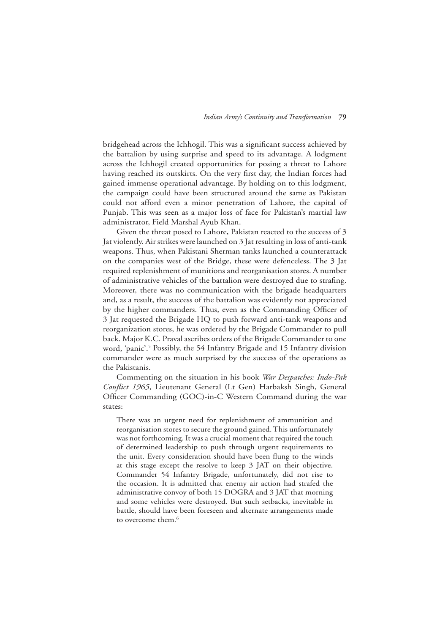bridgehead across the Ichhogil. This was a significant success achieved by the battalion by using surprise and speed to its advantage. A lodgment across the Ichhogil created opportunities for posing a threat to Lahore having reached its outskirts. On the very first day, the Indian forces had gained immense operational advantage. By holding on to this lodgment, the campaign could have been structured around the same as Pakistan could not afford even a minor penetration of Lahore, the capital of Punjab. This was seen as a major loss of face for Pakistan's martial law administrator, Field Marshal Ayub Khan.

Given the threat posed to Lahore, Pakistan reacted to the success of 3 Jat violently. Air strikes were launched on 3 Jat resulting in loss of anti-tank weapons. Thus, when Pakistani Sherman tanks launched a counterattack on the companies west of the Bridge, these were defenceless. The 3 Jat required replenishment of munitions and reorganisation stores. A number of administrative vehicles of the battalion were destroyed due to strafing. Moreover, there was no communication with the brigade headquarters and, as a result, the success of the battalion was evidently not appreciated by the higher commanders. Thus, even as the Commanding Officer of 3 Jat requested the Brigade HQ to push forward anti-tank weapons and reorganization stores, he was ordered by the Brigade Commander to pull back. Major K.C. Praval ascribes orders of the Brigade Commander to one word, 'panic'.<sup>5</sup> Possibly, the 54 Infantry Brigade and 15 Infantry division commander were as much surprised by the success of the operations as the Pakistanis.

Commenting on the situation in his book *War Despatches: Indo-Pak Conflict 1965*, Lieutenant General (Lt Gen) Harbaksh Singh, General Officer Commanding (GOC)-in-C Western Command during the war states:

There was an urgent need for replenishment of ammunition and reorganisation stores to secure the ground gained. This unfortunately was not forthcoming. It was a crucial moment that required the touch of determined leadership to push through urgent requirements to the unit. Every consideration should have been flung to the winds at this stage except the resolve to keep 3 JAT on their objective. Commander 54 Infantry Brigade, unfortunately, did not rise to the occasion. It is admitted that enemy air action had strafed the administrative convoy of both 15 DOGRA and 3 JAT that morning and some vehicles were destroyed. But such setbacks, inevitable in battle, should have been foreseen and alternate arrangements made to overcome them.<sup>6</sup>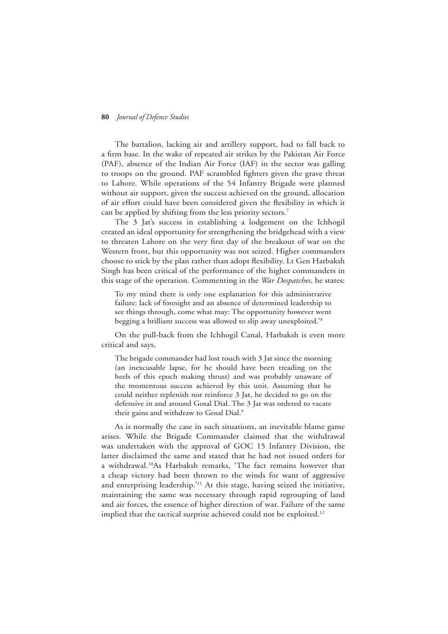The battalion, lacking air and artillery support, had to fall back to a firm base. In the wake of repeated air strikes by the Pakistan Air Force (PAF), absence of the Indian Air Force (IAF) in the sector was galling to troops on the ground. PAF scrambled fighters given the grave threat to Lahore. While operations of the 54 Infantry Brigade were planned without air support, given the success achieved on the ground, allocation of air effort could have been considered given the flexibility in which it can be applied by shifting from the less priority sectors.<sup>7</sup>

The 3 Jat's success in establishing a lodgement on the Ichhogil created an ideal opportunity for strengthening the bridgehead with a view to threaten Lahore on the very first day of the breakout of war on the Western front, but this opportunity was not seized. Higher commanders choose to stick by the plan rather than adopt flexibility. Lt Gen Harbaksh Singh has been critical of the performance of the higher commanders in this stage of the operation. Commenting in the *War Despatches*, he states:

To my mind there is only one explanation for this administrative failure: lack of foresight and an absence of determined leadership to see things through, come what may: The opportunity however went begging a brilliant success was allowed to slip away unexploited.'8

On the pull-back from the Ichhogil Canal, Harbaksh is even more critical and says,

The brigade commander had lost touch with 3 Jat since the morning (an inexcusable lapse, for he should have been treading on the heels of this epoch making thrust) and was probably unaware of the momentous success achieved by this unit. Assuming that he could neither replenish nor reinforce 3 Jat, he decided to go on the defensive in and around Gosal Dial. The 3 Jat was ordered to vacate their gains and withdraw to Gosal Dial.<sup>9</sup>

As is normally the case in such situations, an inevitable blame game arises. While the Brigade Commander claimed that the withdrawal was undertaken with the approval of GOC 15 Infantry Division, the latter disclaimed the same and stated that he had not issued orders for a withdrawal.10As Harbaksh remarks, 'The fact remains however that a cheap victory had been thrown to the winds for want of aggressive and enterprising leadership.'<sup>11</sup> At this stage, having seized the initiative, maintaining the same was necessary through rapid regrouping of land and air forces, the essence of higher direction of war. Failure of the same implied that the tactical surprise achieved could not be exploited.<sup>12</sup>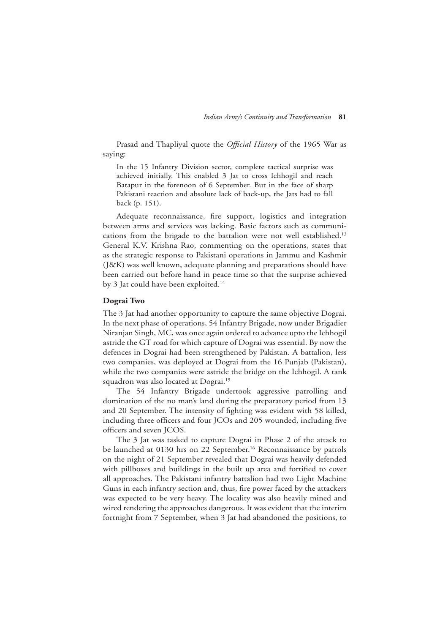Prasad and Thapliyal quote the *Official History* of the 1965 War as saying:

In the 15 Infantry Division sector, complete tactical surprise was achieved initially. This enabled 3 Jat to cross Ichhogil and reach Batapur in the forenoon of 6 September. But in the face of sharp Pakistani reaction and absolute lack of back-up, the Jats had to fall back (p. 151).

Adequate reconnaissance, fire support, logistics and integration between arms and services was lacking. Basic factors such as communications from the brigade to the battalion were not well established.<sup>13</sup> General K.V. Krishna Rao, commenting on the operations, states that as the strategic response to Pakistani operations in Jammu and Kashmir (J&K) was well known, adequate planning and preparations should have been carried out before hand in peace time so that the surprise achieved by 3 Jat could have been exploited.<sup>14</sup>

#### **Dograi Two**

The 3 Jat had another opportunity to capture the same objective Dograi. In the next phase of operations, 54 Infantry Brigade, now under Brigadier Niranjan Singh, MC, was once again ordered to advance upto the Ichhogil astride the GT road for which capture of Dograi was essential. By now the defences in Dograi had been strengthened by Pakistan. A battalion, less two companies, was deployed at Dograi from the 16 Punjab (Pakistan), while the two companies were astride the bridge on the Ichhogil. A tank squadron was also located at Dograi.<sup>15</sup>

The 54 Infantry Brigade undertook aggressive patrolling and domination of the no man's land during the preparatory period from 13 and 20 September. The intensity of fighting was evident with 58 killed, including three officers and four JCOs and 205 wounded, including five officers and seven JCOS.

The 3 Jat was tasked to capture Dograi in Phase 2 of the attack to be launched at 0130 hrs on 22 September.<sup>16</sup> Reconnaissance by patrols on the night of 21 September revealed that Dograi was heavily defended with pillboxes and buildings in the built up area and fortified to cover all approaches. The Pakistani infantry battalion had two Light Machine Guns in each infantry section and, thus, fire power faced by the attackers was expected to be very heavy. The locality was also heavily mined and wired rendering the approaches dangerous. It was evident that the interim fortnight from 7 September, when 3 Jat had abandoned the positions, to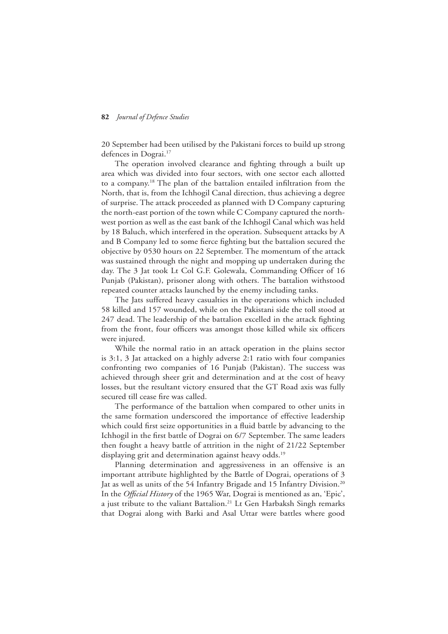20 September had been utilised by the Pakistani forces to build up strong defences in Dograi.<sup>17</sup>

The operation involved clearance and fighting through a built up area which was divided into four sectors, with one sector each allotted to a company.18 The plan of the battalion entailed infiltration from the North, that is, from the Ichhogil Canal direction, thus achieving a degree of surprise. The attack proceeded as planned with D Company capturing the north-east portion of the town while C Company captured the northwest portion as well as the east bank of the Ichhogil Canal which was held by 18 Baluch, which interfered in the operation. Subsequent attacks by A and B Company led to some fierce fighting but the battalion secured the objective by 0530 hours on 22 September. The momentum of the attack was sustained through the night and mopping up undertaken during the day. The 3 Jat took Lt Col G.F. Golewala, Commanding Officer of 16 Punjab (Pakistan), prisoner along with others. The battalion withstood repeated counter attacks launched by the enemy including tanks.

The Jats suffered heavy casualties in the operations which included 58 killed and 157 wounded, while on the Pakistani side the toll stood at 247 dead. The leadership of the battalion excelled in the attack fighting from the front, four officers was amongst those killed while six officers were injured.

While the normal ratio in an attack operation in the plains sector is 3:1, 3 Jat attacked on a highly adverse 2:1 ratio with four companies confronting two companies of 16 Punjab (Pakistan). The success was achieved through sheer grit and determination and at the cost of heavy losses, but the resultant victory ensured that the GT Road axis was fully secured till cease fire was called.

The performance of the battalion when compared to other units in the same formation underscored the importance of effective leadership which could first seize opportunities in a fluid battle by advancing to the Ichhogil in the first battle of Dograi on 6/7 September. The same leaders then fought a heavy battle of attrition in the night of 21/22 September displaying grit and determination against heavy odds.<sup>19</sup>

Planning determination and aggressiveness in an offensive is an important attribute highlighted by the Battle of Dograi, operations of 3 Jat as well as units of the 54 Infantry Brigade and 15 Infantry Division.<sup>20</sup> In the *Official History* of the 1965 War, Dograi is mentioned as an, 'Epic', a just tribute to the valiant Battalion.<sup>21</sup> Lt Gen Harbaksh Singh remarks that Dograi along with Barki and Asal Uttar were battles where good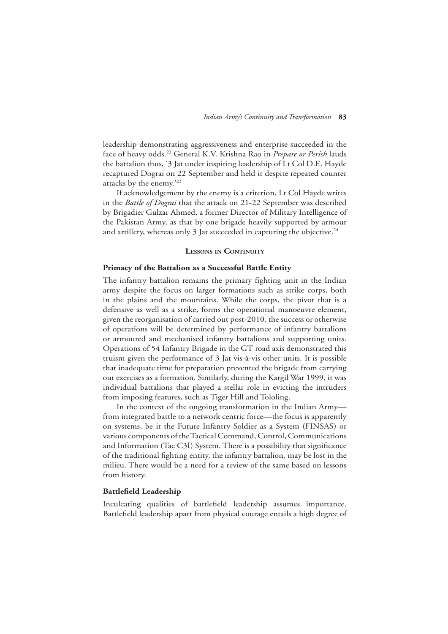leadership demonstrating aggressiveness and enterprise succeeded in the face of heavy odds.22 General K.V. Krishna Rao in *Prepare or Perish* lauds the battalion thus, '3 Jat under inspiring leadership of Lt Col D.E. Hayde recaptured Dograi on 22 September and held it despite repeated counter attacks by the enemy.'23

If acknowledgement by the enemy is a criterion, Lt Col Hayde writes in the *Battle of Dograi* that the attack on 21-22 September was described by Brigadier Gulzar Ahmed, a former Director of Military Intelligence of the Pakistan Army, as that by one brigade heavily supported by armour and artillery, whereas only 3 Jat succeeded in capturing the objective.<sup>24</sup>

#### **Lessons in Continuity**

# **Primacy of the Battalion as a Successful Battle Entity**

The infantry battalion remains the primary fighting unit in the Indian army despite the focus on larger formations such as strike corps, both in the plains and the mountains. While the corps, the pivot that is a defensive as well as a strike, forms the operational manoeuvre element, given the reorganisation of carried out post-2010, the success or otherwise of operations will be determined by performance of infantry battalions or armoured and mechanised infantry battalions and supporting units. Operations of 54 Infantry Brigade in the GT road axis demonstrated this truism given the performance of 3 Jat vis-à-vis other units. It is possible that inadequate time for preparation prevented the brigade from carrying out exercises as a formation. Similarly, during the Kargil War 1999, it was individual battalions that played a stellar role in evicting the intruders from imposing features, such as Tiger Hill and Tololing.

In the context of the ongoing transformation in the Indian Army from integrated battle to a network centric force—the focus is apparently on systems, be it the Future Infantry Soldier as a System (FINSAS) or various components of the Tactical Command, Control, Communications and Information (Tac C3I) System. There is a possibility that significance of the traditional fighting entity, the infantry battalion, may be lost in the milieu. There would be a need for a review of the same based on lessons from history.

#### **Battlefield Leadership**

Inculcating qualities of battlefield leadership assumes importance. Battlefield leadership apart from physical courage entails a high degree of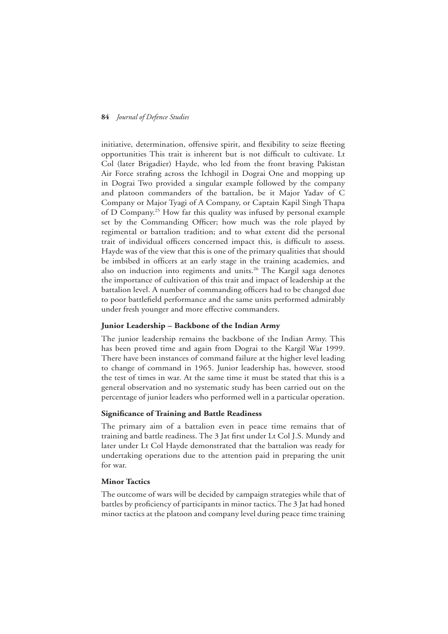initiative, determination, offensive spirit, and flexibility to seize fleeting opportunities This trait is inherent but is not difficult to cultivate. Lt Col (later Brigadier) Hayde, who led from the front braving Pakistan Air Force strafing across the Ichhogil in Dograi One and mopping up in Dograi Two provided a singular example followed by the company and platoon commanders of the battalion, be it Major Yadav of C Company or Major Tyagi of A Company, or Captain Kapil Singh Thapa of D Company.25 How far this quality was infused by personal example set by the Commanding Officer; how much was the role played by regimental or battalion tradition; and to what extent did the personal trait of individual officers concerned impact this, is difficult to assess. Hayde was of the view that this is one of the primary qualities that should be imbibed in officers at an early stage in the training academies, and also on induction into regiments and units.<sup>26</sup> The Kargil saga denotes the importance of cultivation of this trait and impact of leadership at the battalion level. A number of commanding officers had to be changed due to poor battlefield performance and the same units performed admirably under fresh younger and more effective commanders.

# **Junior Leadership – Backbone of the Indian Army**

The junior leadership remains the backbone of the Indian Army. This has been proved time and again from Dograi to the Kargil War 1999. There have been instances of command failure at the higher level leading to change of command in 1965. Junior leadership has, however, stood the test of times in war. At the same time it must be stated that this is a general observation and no systematic study has been carried out on the percentage of junior leaders who performed well in a particular operation.

#### **Significance of Training and Battle Readiness**

The primary aim of a battalion even in peace time remains that of training and battle readiness. The 3 Jat first under Lt Col J.S. Mundy and later under Lt Col Hayde demonstrated that the battalion was ready for undertaking operations due to the attention paid in preparing the unit for war.

## **Minor Tactics**

The outcome of wars will be decided by campaign strategies while that of battles by proficiency of participants in minor tactics. The 3 Jat had honed minor tactics at the platoon and company level during peace time training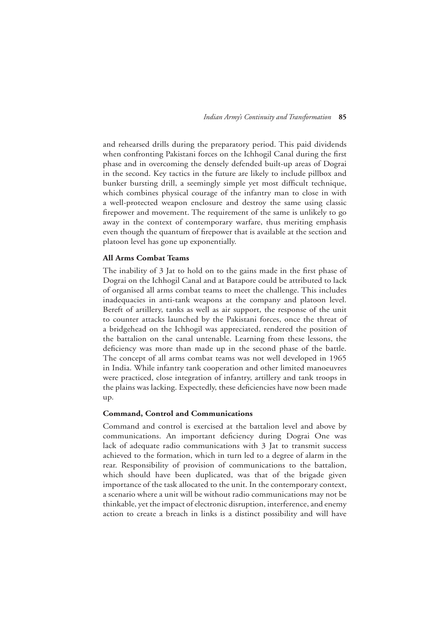and rehearsed drills during the preparatory period. This paid dividends when confronting Pakistani forces on the Ichhogil Canal during the first phase and in overcoming the densely defended built-up areas of Dograi in the second. Key tactics in the future are likely to include pillbox and bunker bursting drill, a seemingly simple yet most difficult technique, which combines physical courage of the infantry man to close in with a well-protected weapon enclosure and destroy the same using classic firepower and movement. The requirement of the same is unlikely to go away in the context of contemporary warfare, thus meriting emphasis even though the quantum of firepower that is available at the section and platoon level has gone up exponentially.

#### **All Arms Combat Teams**

The inability of 3 Jat to hold on to the gains made in the first phase of Dograi on the Ichhogil Canal and at Batapore could be attributed to lack of organised all arms combat teams to meet the challenge. This includes inadequacies in anti-tank weapons at the company and platoon level. Bereft of artillery, tanks as well as air support, the response of the unit to counter attacks launched by the Pakistani forces, once the threat of a bridgehead on the Ichhogil was appreciated, rendered the position of the battalion on the canal untenable. Learning from these lessons, the deficiency was more than made up in the second phase of the battle. The concept of all arms combat teams was not well developed in 1965 in India. While infantry tank cooperation and other limited manoeuvres were practiced, close integration of infantry, artillery and tank troops in the plains was lacking. Expectedly, these deficiencies have now been made up.

#### **Command, Control and Communications**

Command and control is exercised at the battalion level and above by communications. An important deficiency during Dograi One was lack of adequate radio communications with 3 Jat to transmit success achieved to the formation, which in turn led to a degree of alarm in the rear. Responsibility of provision of communications to the battalion, which should have been duplicated, was that of the brigade given importance of the task allocated to the unit. In the contemporary context, a scenario where a unit will be without radio communications may not be thinkable, yet the impact of electronic disruption, interference, and enemy action to create a breach in links is a distinct possibility and will have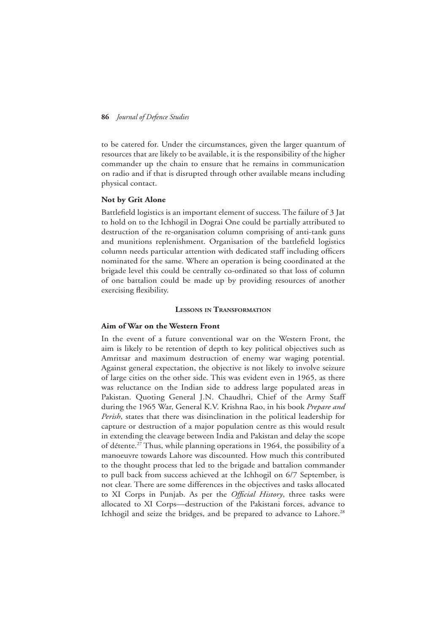to be catered for. Under the circumstances, given the larger quantum of resources that are likely to be available, it is the responsibility of the higher commander up the chain to ensure that he remains in communication on radio and if that is disrupted through other available means including physical contact.

#### **Not by Grit Alone**

Battlefield logistics is an important element of success. The failure of 3 Jat to hold on to the Ichhogil in Dograi One could be partially attributed to destruction of the re-organisation column comprising of anti-tank guns and munitions replenishment. Organisation of the battlefield logistics column needs particular attention with dedicated staff including officers nominated for the same. Where an operation is being coordinated at the brigade level this could be centrally co-ordinated so that loss of column of one battalion could be made up by providing resources of another exercising flexibility.

#### **Lessons in Transformation**

# **Aim of War on the Western Front**

In the event of a future conventional war on the Western Front, the aim is likely to be retention of depth to key political objectives such as Amritsar and maximum destruction of enemy war waging potential. Against general expectation, the objective is not likely to involve seizure of large cities on the other side. This was evident even in 1965, as there was reluctance on the Indian side to address large populated areas in Pakistan. Quoting General J.N. Chaudhri, Chief of the Army Staff during the 1965 War, General K.V. Krishna Rao, in his book *Prepare and Perish*, states that there was disinclination in the political leadership for capture or destruction of a major population centre as this would result in extending the cleavage between India and Pakistan and delay the scope of détente.27 Thus, while planning operations in 1964, the possibility of a manoeuvre towards Lahore was discounted. How much this contributed to the thought process that led to the brigade and battalion commander to pull back from success achieved at the Ichhogil on 6/7 September, is not clear. There are some differences in the objectives and tasks allocated to XI Corps in Punjab. As per the *Official History*, three tasks were allocated to XI Corps—destruction of the Pakistani forces, advance to Ichhogil and seize the bridges, and be prepared to advance to Lahore.<sup>28</sup>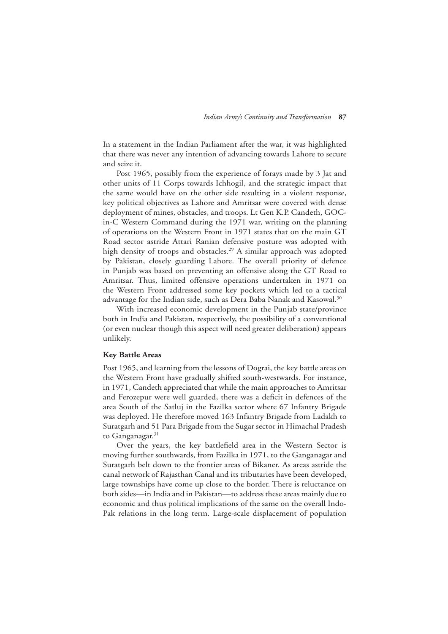In a statement in the Indian Parliament after the war, it was highlighted that there was never any intention of advancing towards Lahore to secure and seize it.

Post 1965, possibly from the experience of forays made by 3 Jat and other units of 11 Corps towards Ichhogil, and the strategic impact that the same would have on the other side resulting in a violent response, key political objectives as Lahore and Amritsar were covered with dense deployment of mines, obstacles, and troops. Lt Gen K.P. Candeth, GOCin-C Western Command during the 1971 war, writing on the planning of operations on the Western Front in 1971 states that on the main GT Road sector astride Attari Ranian defensive posture was adopted with high density of troops and obstacles.<sup>29</sup> A similar approach was adopted by Pakistan, closely guarding Lahore. The overall priority of defence in Punjab was based on preventing an offensive along the GT Road to Amritsar. Thus, limited offensive operations undertaken in 1971 on the Western Front addressed some key pockets which led to a tactical advantage for the Indian side, such as Dera Baba Nanak and Kasowal.<sup>30</sup>

With increased economic development in the Punjab state/province both in India and Pakistan, respectively, the possibility of a conventional (or even nuclear though this aspect will need greater deliberation) appears unlikely.

#### **Key Battle Areas**

Post 1965, and learning from the lessons of Dograi, the key battle areas on the Western Front have gradually shifted south-westwards. For instance, in 1971, Candeth appreciated that while the main approaches to Amritsar and Ferozepur were well guarded, there was a deficit in defences of the area South of the Satluj in the Fazilka sector where 67 Infantry Brigade was deployed. He therefore moved 163 Infantry Brigade from Ladakh to Suratgarh and 51 Para Brigade from the Sugar sector in Himachal Pradesh to Ganganagar.<sup>31</sup>

Over the years, the key battlefield area in the Western Sector is moving further southwards, from Fazilka in 1971, to the Ganganagar and Suratgarh belt down to the frontier areas of Bikaner. As areas astride the canal network of Rajasthan Canal and its tributaries have been developed, large townships have come up close to the border. There is reluctance on both sides—in India and in Pakistan—to address these areas mainly due to economic and thus political implications of the same on the overall Indo-Pak relations in the long term. Large-scale displacement of population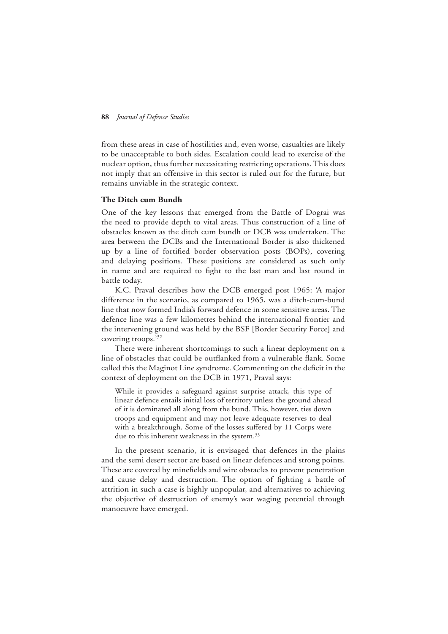from these areas in case of hostilities and, even worse, casualties are likely to be unacceptable to both sides. Escalation could lead to exercise of the nuclear option, thus further necessitating restricting operations. This does not imply that an offensive in this sector is ruled out for the future, but remains unviable in the strategic context.

#### **The Ditch cum Bundh**

One of the key lessons that emerged from the Battle of Dograi was the need to provide depth to vital areas. Thus construction of a line of obstacles known as the ditch cum bundh or DCB was undertaken. The area between the DCBs and the International Border is also thickened up by a line of fortified border observation posts (BOPs), covering and delaying positions. These positions are considered as such only in name and are required to fight to the last man and last round in battle today.

K.C. Praval describes how the DCB emerged post 1965: 'A major difference in the scenario, as compared to 1965, was a ditch-cum-bund line that now formed India's forward defence in some sensitive areas. The defence line was a few kilometres behind the international frontier and the intervening ground was held by the BSF [Border Security Force] and covering troops.'32

There were inherent shortcomings to such a linear deployment on a line of obstacles that could be outflanked from a vulnerable flank. Some called this the Maginot Line syndrome. Commenting on the deficit in the context of deployment on the DCB in 1971, Praval says:

While it provides a safeguard against surprise attack, this type of linear defence entails initial loss of territory unless the ground ahead of it is dominated all along from the bund. This, however, ties down troops and equipment and may not leave adequate reserves to deal with a breakthrough. Some of the losses suffered by 11 Corps were due to this inherent weakness in the system.<sup>33</sup>

In the present scenario, it is envisaged that defences in the plains and the semi desert sector are based on linear defences and strong points. These are covered by minefields and wire obstacles to prevent penetration and cause delay and destruction. The option of fighting a battle of attrition in such a case is highly unpopular, and alternatives to achieving the objective of destruction of enemy's war waging potential through manoeuvre have emerged.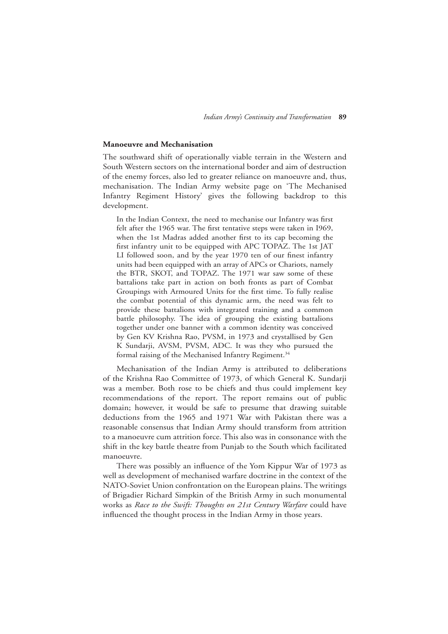#### **Manoeuvre and Mechanisation**

The southward shift of operationally viable terrain in the Western and South Western sectors on the international border and aim of destruction of the enemy forces, also led to greater reliance on manoeuvre and, thus, mechanisation. The Indian Army website page on 'The Mechanised Infantry Regiment History' gives the following backdrop to this development.

In the Indian Context, the need to mechanise our Infantry was first felt after the 1965 war. The first tentative steps were taken in I969, when the 1st Madras added another first to its cap becoming the first infantry unit to be equipped with APC TOPAZ. The 1st JAT LI followed soon, and by the year 1970 ten of our finest infantry units had been equipped with an array of APCs or Chariots, namely the BTR, SKOT, and TOPAZ. The 1971 war saw some of these battalions take part in action on both fronts as part of Combat Groupings with Armoured Units for the first time. To fully realise the combat potential of this dynamic arm, the need was felt to provide these battalions with integrated training and a common battle philosophy. The idea of grouping the existing battalions together under one banner with a common identity was conceived by Gen KV Krishna Rao, PVSM, in 1973 and crystallised by Gen K Sundarji, AVSM, PVSM, ADC. It was they who pursued the formal raising of the Mechanised Infantry Regiment.<sup>34</sup>

Mechanisation of the Indian Army is attributed to deliberations of the Krishna Rao Committee of 1973, of which General K. Sundarji was a member. Both rose to be chiefs and thus could implement key recommendations of the report. The report remains out of public domain; however, it would be safe to presume that drawing suitable deductions from the 1965 and 1971 War with Pakistan there was a reasonable consensus that Indian Army should transform from attrition to a manoeuvre cum attrition force. This also was in consonance with the shift in the key battle theatre from Punjab to the South which facilitated manoeuvre.

There was possibly an influence of the Yom Kippur War of 1973 as well as development of mechanised warfare doctrine in the context of the NATO-Soviet Union confrontation on the European plains. The writings of Brigadier Richard Simpkin of the British Army in such monumental works as *Race to the Swift: Thoughts on 21st Century Warfare* could have influenced the thought process in the Indian Army in those years.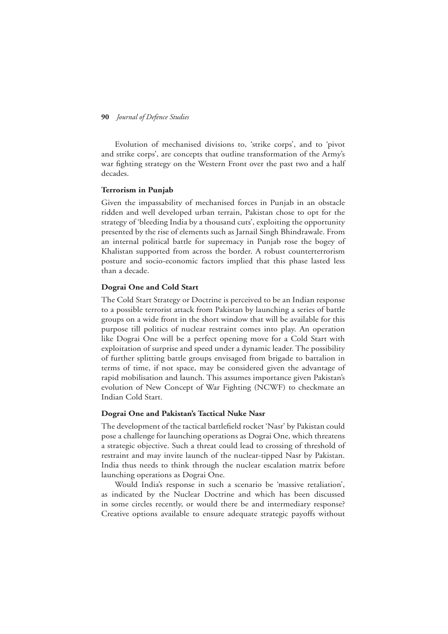Evolution of mechanised divisions to, 'strike corps', and to 'pivot and strike corps', are concepts that outline transformation of the Army's war fighting strategy on the Western Front over the past two and a half decades.

#### **Terrorism in Punjab**

Given the impassability of mechanised forces in Punjab in an obstacle ridden and well developed urban terrain, Pakistan chose to opt for the strategy of 'bleeding India by a thousand cuts', exploiting the opportunity presented by the rise of elements such as Jarnail Singh Bhindrawale. From an internal political battle for supremacy in Punjab rose the bogey of Khalistan supported from across the border. A robust counterterrorism posture and socio-economic factors implied that this phase lasted less than a decade.

#### **Dograi One and Cold Start**

The Cold Start Strategy or Doctrine is perceived to be an Indian response to a possible terrorist attack from Pakistan by launching a series of battle groups on a wide front in the short window that will be available for this purpose till politics of nuclear restraint comes into play. An operation like Dograi One will be a perfect opening move for a Cold Start with exploitation of surprise and speed under a dynamic leader. The possibility of further splitting battle groups envisaged from brigade to battalion in terms of time, if not space, may be considered given the advantage of rapid mobilisation and launch. This assumes importance given Pakistan's evolution of New Concept of War Fighting (NCWF) to checkmate an Indian Cold Start.

#### **Dograi One and Pakistan's Tactical Nuke Nasr**

The development of the tactical battlefield rocket 'Nasr' by Pakistan could pose a challenge for launching operations as Dograi One, which threatens a strategic objective. Such a threat could lead to crossing of threshold of restraint and may invite launch of the nuclear-tipped Nasr by Pakistan. India thus needs to think through the nuclear escalation matrix before launching operations as Dograi One.

Would India's response in such a scenario be 'massive retaliation', as indicated by the Nuclear Doctrine and which has been discussed in some circles recently, or would there be and intermediary response? Creative options available to ensure adequate strategic payoffs without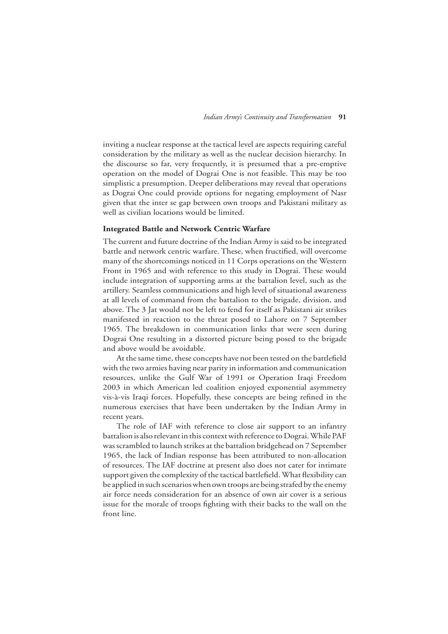inviting a nuclear response at the tactical level are aspects requiring careful consideration by the military as well as the nuclear decision hierarchy. In the discourse so far, very frequently, it is presumed that a pre-emptive operation on the model of Dograi One is not feasible. This may be too simplistic a presumption. Deeper deliberations may reveal that operations as Dograi One could provide options for negating employment of Nasr given that the inter se gap between own troops and Pakistani military as well as civilian locations would be limited.

### **Integrated Battle and Network Centric Warfare**

The current and future doctrine of the Indian Army is said to be integrated battle and network centric warfare. These, when fructified, will overcome many of the shortcomings noticed in 11 Corps operations on the Western Front in 1965 and with reference to this study in Dograi. These would include integration of supporting arms at the battalion level, such as the artillery. Seamless communications and high level of situational awareness at all levels of command from the battalion to the brigade, division, and above. The 3 Jat would not be left to fend for itself as Pakistani air strikes manifested in reaction to the threat posed to Lahore on 7 September 1965. The breakdown in communication links that were seen during Dograi One resulting in a distorted picture being posed to the brigade and above would be avoidable.

At the same time, these concepts have not been tested on the battlefield with the two armies having near parity in information and communication resources, unlike the Gulf War of 1991 or Operation Iraqi Freedom 2003 in which American led coalition enjoyed exponential asymmetry vis-à-vis Iraqi forces. Hopefully, these concepts are being refined in the numerous exercises that have been undertaken by the Indian Army in recent years.

The role of IAF with reference to close air support to an infantry battalion is also relevant in this context with reference to Dograi. While PAF was scrambled to launch strikes at the battalion bridgehead on 7 September 1965, the lack of Indian response has been attributed to non-allocation of resources. The IAF doctrine at present also does not cater for intimate support given the complexity of the tactical battlefield. What flexibility can be applied in such scenarios when own troops are being strafed by the enemy air force needs consideration for an absence of own air cover is a serious issue for the morale of troops fighting with their backs to the wall on the front line.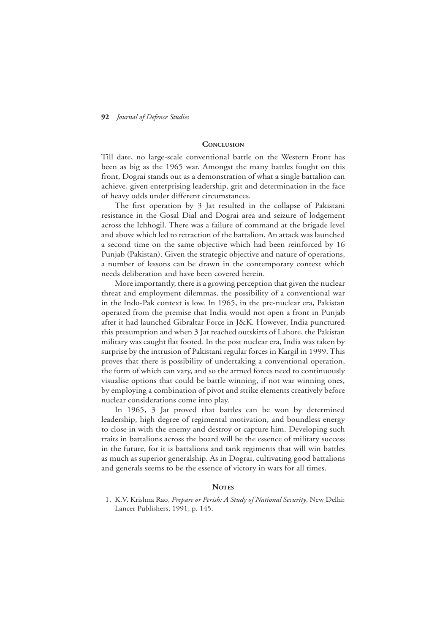# **Conclusion**

Till date, no large-scale conventional battle on the Western Front has been as big as the 1965 war. Amongst the many battles fought on this front, Dograi stands out as a demonstration of what a single battalion can achieve, given enterprising leadership, grit and determination in the face of heavy odds under different circumstances.

The first operation by 3 Jat resulted in the collapse of Pakistani resistance in the Gosal Dial and Dograi area and seizure of lodgement across the Ichhogil. There was a failure of command at the brigade level and above which led to retraction of the battalion. An attack was launched a second time on the same objective which had been reinforced by 16 Punjab (Pakistan). Given the strategic objective and nature of operations, a number of lessons can be drawn in the contemporary context which needs deliberation and have been covered herein.

More importantly, there is a growing perception that given the nuclear threat and employment dilemmas, the possibility of a conventional war in the Indo-Pak context is low. In 1965, in the pre-nuclear era, Pakistan operated from the premise that India would not open a front in Punjab after it had launched Gibraltar Force in J&K. However, India punctured this presumption and when 3 Jat reached outskirts of Lahore, the Pakistan military was caught flat footed. In the post nuclear era, India was taken by surprise by the intrusion of Pakistani regular forces in Kargil in 1999. This proves that there is possibility of undertaking a conventional operation, the form of which can vary, and so the armed forces need to continuously visualise options that could be battle winning, if not war winning ones, by employing a combination of pivot and strike elements creatively before nuclear considerations come into play.

In 1965, 3 Jat proved that battles can be won by determined leadership, high degree of regimental motivation, and boundless energy to close in with the enemy and destroy or capture him. Developing such traits in battalions across the board will be the essence of military success in the future, for it is battalions and tank regiments that will win battles as much as superior generalship. As in Dograi, cultivating good battalions and generals seems to be the essence of victory in wars for all times.

#### **NOTES**

1. K.V. Krishna Rao, *Prepare or Perish: A Study of National Security*, New Delhi: Lancer Publishers, 1991, p. 145.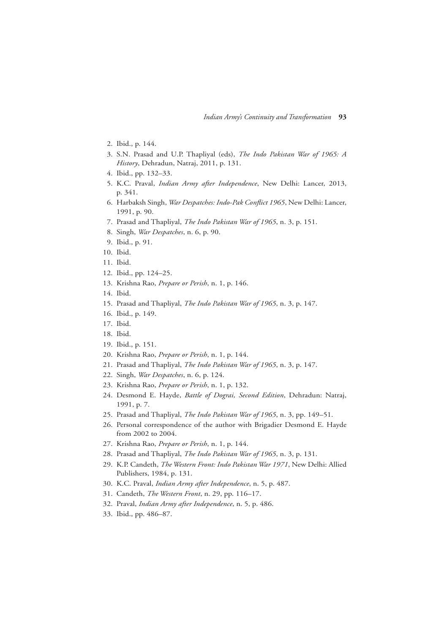- 2. Ibid., p. 144.
- 3. S.N. Prasad and U.P. Thapliyal (eds), *The Indo Pakistan War of 1965: A History*, Dehradun, Natraj, 2011, p. 131.
- 4. Ibid., pp. 132–33.
- 5. K.C. Praval, *Indian Army after Independence*, New Delhi: Lancer, 2013, p. 341.
- 6. Harbaksh Singh, *War Despatches: Indo-Pak Conflict 1965*, New Delhi: Lancer, 1991, p. 90.
- 7. Prasad and Thapliyal, *The Indo Pakistan War of 1965*, n. 3, p. 151.
- 8. Singh, *War Despatches*, n. 6, p. 90.
- 9. Ibid., p. 91.
- 10. Ibid.
- 11. Ibid.
- 12. Ibid., pp. 124–25.
- 13. Krishna Rao, *Prepare or Perish*, n. 1, p. 146.
- 14. Ibid.
- 15. Prasad and Thapliyal, *The Indo Pakistan War of 1965*, n. 3, p. 147.
- 16. Ibid., p. 149.
- 17. Ibid.
- 18. Ibid.
- 19. Ibid., p. 151.
- 20. Krishna Rao, *Prepare or Perish*, n. 1, p. 144.
- 21. Prasad and Thapliyal, *The Indo Pakistan War of 1965*, n. 3, p. 147.
- 22. Singh, *War Despatches*, n. 6, p. 124.
- 23. Krishna Rao, *Prepare or Perish*, n. 1, p. 132.
- 24. Desmond E. Hayde, *Battle of Dograi, Second Edition*, Dehradun: Natraj, 1991, p. 7.
- 25. Prasad and Thapliyal, *The Indo Pakistan War of 1965*, n. 3, pp. 149–51.
- 26. Personal correspondence of the author with Brigadier Desmond E. Hayde from 2002 to 2004.
- 27. Krishna Rao, *Prepare or Perish*, n. 1, p. 144.
- 28. Prasad and Thapliyal, *The Indo Pakistan War of 1965*, n. 3, p. 131.
- 29. K.P. Candeth, *The Western Front: Indo Pakistan War 1971*, New Delhi: Allied Publishers, 1984, p. 131.
- 30. K.C. Praval, *Indian Army after Independence*, n. 5, p. 487.
- 31. Candeth, *The Western Front*, n. 29, pp. 116–17.
- 32. Praval, *Indian Army after Independence*, n. 5, p. 486.
- 33. Ibid., pp. 486–87.